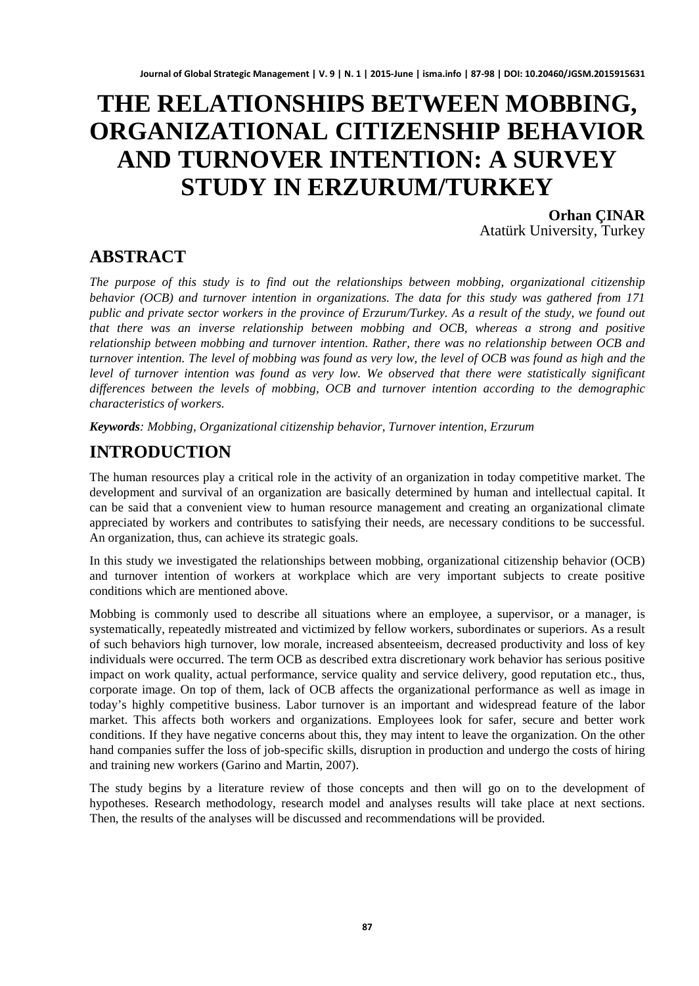# **THE RELATIONSHIPS BETWEEN MOBBING, ORGANIZATIONAL CITIZENSHIP BEHAVIOR AND TURNOVER INTENTION: A SURVEY STUDY IN ERZURUM/TURKEY**

**Orhan ÇINAR** Atatürk University, Turkey

# **ABSTRACT**

*The purpose of this study is to find out the relationships between mobbing, organizational citizenship behavior (OCB) and turnover intention in organizations. The data for this study was gathered from 171 public and private sector workers in the province of Erzurum/Turkey. As a result of the study, we found out that there was an inverse relationship between mobbing and OCB, whereas a strong and positive relationship between mobbing and turnover intention. Rather, there was no relationship between OCB and turnover intention. The level of mobbing was found as very low, the level of OCB was found as high and the level of turnover intention was found as very low. We observed that there were statistically significant differences between the levels of mobbing, OCB and turnover intention according to the demographic characteristics of workers.*

*Keywords: Mobbing, Organizational citizenship behavior, Turnover intention, Erzurum*

# **INTRODUCTION**

The human resources play a critical role in the activity of an organization in today competitive market. The development and survival of an organization are basically determined by human and intellectual capital. It can be said that a convenient view to human resource management and creating an organizational climate appreciated by workers and contributes to satisfying their needs, are necessary conditions to be successful. An organization, thus, can achieve its strategic goals.

In this study we investigated the relationships between mobbing, organizational citizenship behavior (OCB) and turnover intention of workers at workplace which are very important subjects to create positive conditions which are mentioned above.

Mobbing is commonly used to describe all situations where an employee, a supervisor, or a manager, is systematically, repeatedly mistreated and victimized by fellow workers, subordinates or superiors. As a result of such behaviors high turnover, low morale, increased absenteeism, decreased productivity and loss of key individuals were occurred. The term OCB as described extra discretionary work behavior has serious positive impact on work quality, actual performance, service quality and service delivery, good reputation etc., thus, corporate image. On top of them, lack of OCB affects the organizational performance as well as image in today's highly competitive business. Labor turnover is an important and widespread feature of the labor market. This affects both workers and organizations. Employees look for safer, secure and better work conditions. If they have negative concerns about this, they may intent to leave the organization. On the other hand companies suffer the loss of job-specific skills, disruption in production and undergo the costs of hiring and training new workers (Garino and Martin, 2007).

The study begins by a literature review of those concepts and then will go on to the development of hypotheses. Research methodology, research model and analyses results will take place at next sections. Then, the results of the analyses will be discussed and recommendations will be provided.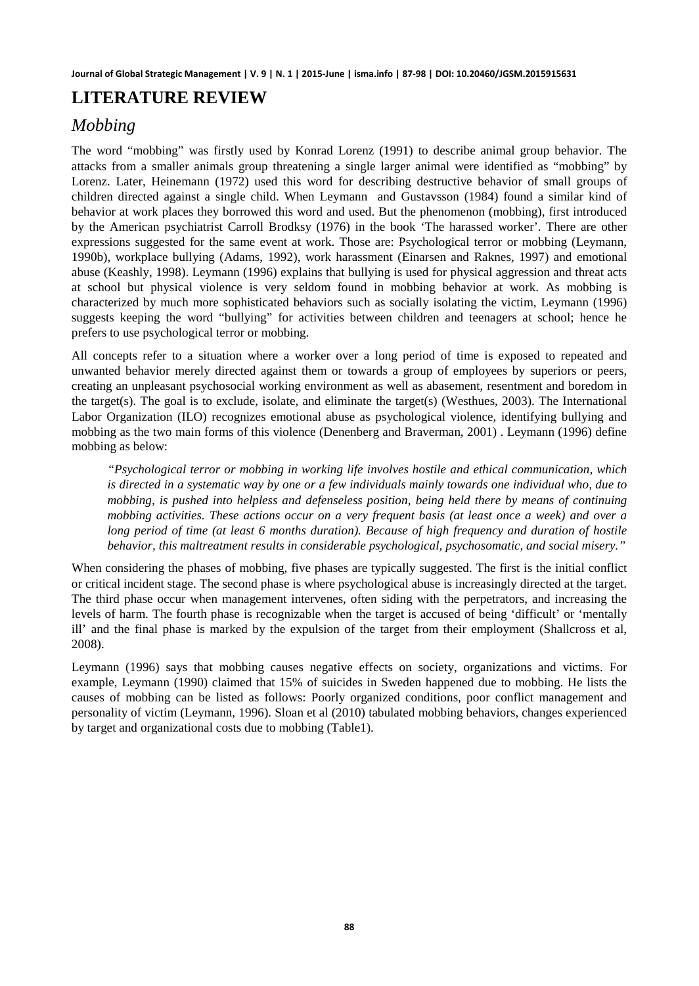### **LITERATURE REVIEW**

# *Mobbing*

The word "mobbing" was firstly used by Konrad Lorenz (1991) to describe animal group behavior. The attacks from a smaller animals group threatening a single larger animal were identified as "mobbing" by Lorenz. Later, Heinemann (1972) used this word for describing destructive behavior of small groups of children directed against a single child. When Leymann and Gustavsson (1984) found a similar kind of behavior at work places they borrowed this word and used. But the phenomenon (mobbing), first introduced by the American psychiatrist Carroll Brodksy (1976) in the book 'The harassed worker'. There are other expressions suggested for the same event at work. Those are: Psychological terror or mobbing (Leymann, 1990b), workplace bullying (Adams, 1992), work harassment (Einarsen and Raknes, 1997) and emotional abuse (Keashly, 1998). Leymann (1996) explains that bullying is used for physical aggression and threat acts at school but physical violence is very seldom found in mobbing behavior at work. As mobbing is characterized by much more sophisticated behaviors such as socially isolating the victim, Leymann (1996) suggests keeping the word "bullying" for activities between children and teenagers at school; hence he prefers to use psychological terror or mobbing.

All concepts refer to a situation where a worker over a long period of time is exposed to repeated and unwanted behavior merely directed against them or towards a group of employees by superiors or peers, creating an unpleasant psychosocial working environment as well as abasement, resentment and boredom in the target(s). The goal is to exclude, isolate, and eliminate the target(s) (Westhues, 2003). The International Labor Organization (ILO) recognizes emotional abuse as psychological violence, identifying bullying and mobbing as the two main forms of this violence (Denenberg and Braverman, 2001) . Leymann (1996) define mobbing as below:

*"Psychological terror or mobbing in working life involves hostile and ethical communication, which is directed in a systematic way by one or a few individuals mainly towards one individual who, due to mobbing, is pushed into helpless and defenseless position, being held there by means of continuing mobbing activities. These actions occur on a very frequent basis (at least once a week) and over a long period of time (at least 6 months duration). Because of high frequency and duration of hostile behavior, this maltreatment results in considerable psychological, psychosomatic, and social misery."*

When considering the phases of mobbing, five phases are typically suggested. The first is the initial conflict or critical incident stage. The second phase is where psychological abuse is increasingly directed at the target. The third phase occur when management intervenes, often siding with the perpetrators, and increasing the levels of harm. The fourth phase is recognizable when the target is accused of being 'difficult' or 'mentally ill' and the final phase is marked by the expulsion of the target from their employment (Shallcross et al, 2008).

Leymann (1996) says that mobbing causes negative effects on society, organizations and victims. For example, Leymann (1990) claimed that 15% of suicides in Sweden happened due to mobbing. He lists the causes of mobbing can be listed as follows: Poorly organized conditions, poor conflict management and personality of victim (Leymann, 1996). Sloan et al (2010) tabulated mobbing behaviors, changes experienced by target and organizational costs due to mobbing (Table1).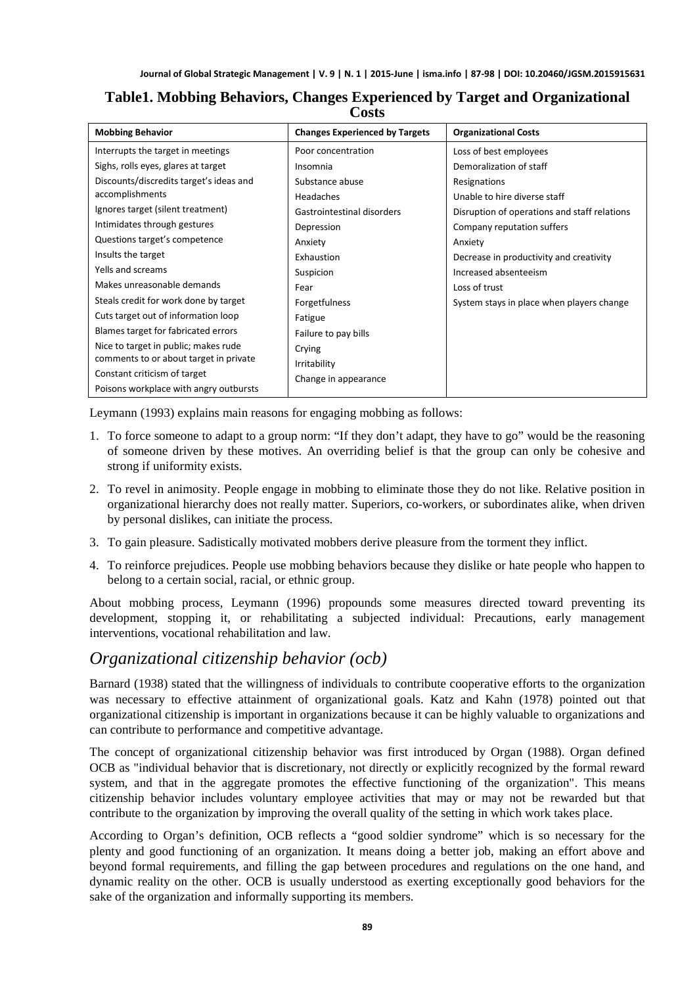| <b>Mobbing Behavior</b>                 | <b>Changes Experienced by Targets</b> | <b>Organizational Costs</b>                  |
|-----------------------------------------|---------------------------------------|----------------------------------------------|
| Interrupts the target in meetings       | Poor concentration                    | Loss of best employees                       |
| Sighs, rolls eyes, glares at target     | Insomnia                              | Demoralization of staff                      |
| Discounts/discredits target's ideas and | Substance abuse                       | Resignations                                 |
| accomplishments                         | Headaches                             | Unable to hire diverse staff                 |
| Ignores target (silent treatment)       | Gastrointestinal disorders            | Disruption of operations and staff relations |
| Intimidates through gestures            | Depression                            | Company reputation suffers                   |
| Questions target's competence           | Anxiety                               | Anxiety                                      |
| Insults the target                      | Exhaustion                            | Decrease in productivity and creativity      |
| Yells and screams                       | Suspicion                             | Increased absenteeism                        |
| Makes unreasonable demands              | Fear                                  | Loss of trust                                |
| Steals credit for work done by target   | Forgetfulness                         | System stays in place when players change    |
| Cuts target out of information loop     | Fatigue                               |                                              |
| Blames target for fabricated errors     | Failure to pay bills                  |                                              |
| Nice to target in public; makes rude    | Crying                                |                                              |
| comments to or about target in private  | Irritability                          |                                              |
| Constant criticism of target            | Change in appearance                  |                                              |
| Poisons workplace with angry outbursts  |                                       |                                              |

#### **Table1. Mobbing Behaviors, Changes Experienced by Target and Organizational Costs**

Leymann (1993) explains main reasons for engaging mobbing as follows:

- 1. To force someone to adapt to a group norm: "If they don't adapt, they have to go" would be the reasoning of someone driven by these motives. An overriding belief is that the group can only be cohesive and strong if uniformity exists.
- 2. To revel in animosity. People engage in mobbing to eliminate those they do not like. Relative position in organizational hierarchy does not really matter. Superiors, co-workers, or subordinates alike, when driven by personal dislikes, can initiate the process.
- 3. To gain pleasure. Sadistically motivated mobbers derive pleasure from the torment they inflict.
- 4. To reinforce prejudices. People use mobbing behaviors because they dislike or hate people who happen to belong to a certain social, racial, or ethnic group.

About mobbing process, Leymann (1996) propounds some measures directed toward preventing its development, stopping it, or rehabilitating a subjected individual: Precautions, early management interventions, vocational rehabilitation and law.

#### *Organizational citizenship behavior (ocb)*

Barnard (1938) stated that the willingness of individuals to contribute cooperative efforts to the organization was necessary to effective attainment of organizational goals. Katz and Kahn (1978) pointed out that organizational citizenship is important in organizations because it can be highly valuable to organizations and can contribute to performance and competitive advantage.

The concept of organizational citizenship behavior was first introduced by Organ (1988). Organ defined OCB as "individual behavior that is discretionary, not directly or explicitly recognized by the formal reward system, and that in the aggregate promotes the effective functioning of the organization". This means citizenship behavior includes voluntary employee activities that may or may not be rewarded but that contribute to the organization by improving the overall quality of the setting in which work takes place.

According to Organ's definition, OCB reflects a "good soldier syndrome" which is so necessary for the plenty and good functioning of an organization. It means doing a better job, making an effort above and beyond formal requirements, and filling the gap between procedures and regulations on the one hand, and dynamic reality on the other. OCB is usually understood as exerting exceptionally good behaviors for the sake of the organization and informally supporting its members.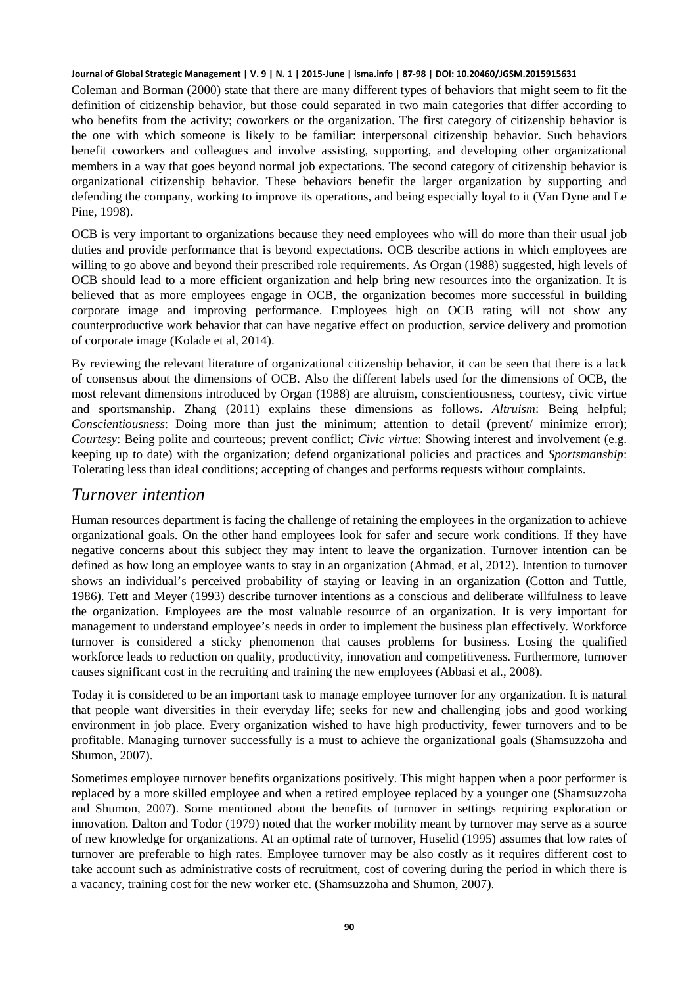Coleman and Borman (2000) state that there are many different types of behaviors that might seem to fit the definition of citizenship behavior, but those could separated in two main categories that differ according to who benefits from the activity; coworkers or the organization. The first category of citizenship behavior is the one with which someone is likely to be familiar: interpersonal citizenship behavior. Such behaviors benefit coworkers and colleagues and involve assisting, supporting, and developing other organizational members in a way that goes beyond normal job expectations. The second category of citizenship behavior is organizational citizenship behavior. These behaviors benefit the larger organization by supporting and defending the company, working to improve its operations, and being especially loyal to it (Van Dyne and Le Pine, 1998).

OCB is very important to organizations because they need employees who will do more than their usual job duties and provide performance that is beyond expectations. OCB describe actions in which employees are willing to go above and beyond their prescribed role requirements. As Organ (1988) suggested, high levels of OCB should lead to a more efficient organization and help bring new resources into the organization. It is believed that as more employees engage in OCB, the organization becomes more successful in building corporate image and improving performance. Employees high on OCB rating will not show any counterproductive work behavior that can have negative effect on production, service delivery and promotion of corporate image (Kolade et al, 2014).

By reviewing the relevant literature of organizational citizenship behavior, it can be seen that there is a lack of consensus about the dimensions of OCB. Also the different labels used for the dimensions of OCB, the most relevant dimensions introduced by Organ (1988) are altruism, conscientiousness, courtesy, civic virtue and sportsmanship. Zhang (2011) explains these dimensions as follows. *Altruism*: Being helpful; *Conscientiousness*: Doing more than just the minimum; attention to detail (prevent/ minimize error); *Courtesy*: Being polite and courteous; prevent conflict; *Civic virtue*: Showing interest and involvement (e.g. keeping up to date) with the organization; defend organizational policies and practices and *Sportsmanship*: Tolerating less than ideal conditions; accepting of changes and performs requests without complaints.

#### *Turnover intention*

Human resources department is facing the challenge of retaining the employees in the organization to achieve organizational goals. On the other hand employees look for safer and secure work conditions. If they have negative concerns about this subject they may intent to leave the organization. Turnover intention can be defined as how long an employee wants to stay in an organization (Ahmad, et al, 2012). Intention to turnover shows an individual's perceived probability of staying or leaving in an organization (Cotton and Tuttle, 1986). Tett and Meyer (1993) describe turnover intentions as a conscious and deliberate willfulness to leave the organization. Employees are the most valuable resource of an organization. It is very important for management to understand employee's needs in order to implement the business plan effectively. Workforce turnover is considered a sticky phenomenon that causes problems for business. Losing the qualified workforce leads to reduction on quality, productivity, innovation and competitiveness. Furthermore, turnover causes significant cost in the recruiting and training the new employees (Abbasi et al., 2008).

Today it is considered to be an important task to manage employee turnover for any organization. It is natural that people want diversities in their everyday life; seeks for new and challenging jobs and good working environment in job place. Every organization wished to have high productivity, fewer turnovers and to be profitable. Managing turnover successfully is a must to achieve the organizational goals (Shamsuzzoha and Shumon, 2007).

Sometimes employee turnover benefits organizations positively. This might happen when a poor performer is replaced by a more skilled employee and when a retired employee replaced by a younger one (Shamsuzzoha and Shumon, 2007). Some mentioned about the benefits of turnover in settings requiring exploration or innovation. Dalton and Todor (1979) noted that the worker mobility meant by turnover may serve as a source of new knowledge for organizations. At an optimal rate of turnover, Huselid (1995) assumes that low rates of turnover are preferable to high rates. Employee turnover may be also costly as it requires different cost to take account such as administrative costs of recruitment, cost of covering during the period in which there is a vacancy, training cost for the new worker etc. (Shamsuzzoha and Shumon, 2007).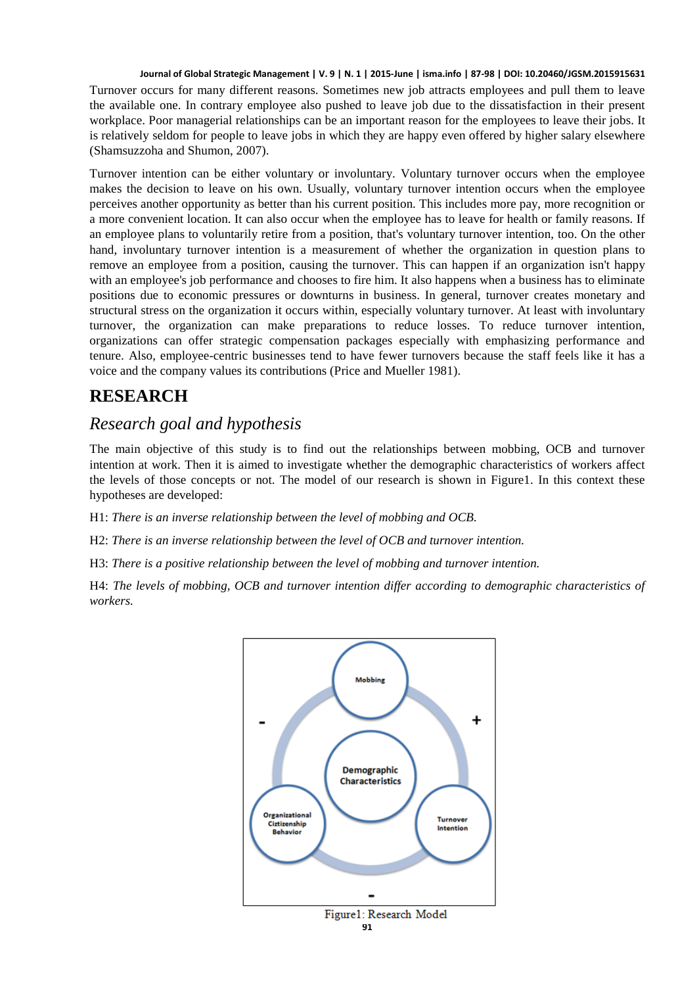Turnover occurs for many different reasons. Sometimes new job attracts employees and pull them to leave the available one. In contrary employee also pushed to leave job due to the dissatisfaction in their present workplace. Poor managerial relationships can be an important reason for the employees to leave their jobs. It is relatively seldom for people to leave jobs in which they are happy even offered by higher salary elsewhere (Shamsuzzoha and Shumon, 2007).

Turnover intention can be either voluntary or involuntary. Voluntary turnover occurs when the employee makes the decision to leave on his own. Usually, voluntary turnover intention occurs when the employee perceives another opportunity as better than his current position. This includes more pay, more recognition or a more convenient location. It can also occur when the employee has to leave for health or family reasons. If an employee plans to voluntarily retire from a position, that's voluntary turnover intention, too. On the other hand, involuntary turnover intention is a measurement of whether the organization in question plans to remove an employee from a position, causing the turnover. This can happen if an organization isn't happy with an employee's job performance and chooses to fire him. It also happens when a business has to eliminate positions due to economic pressures or downturns in business. In general, turnover creates monetary and structural stress on the organization it occurs within, especially voluntary turnover. At least with involuntary turnover, the organization can make preparations to reduce losses. To reduce turnover intention, organizations can offer strategic compensation packages especially with emphasizing performance and tenure. Also, employee-centric businesses tend to have fewer turnovers because the staff feels like it has a voice and the company values its contributions (Price and Mueller 1981).

# **RESEARCH**

# *Research goal and hypothesis*

The main objective of this study is to find out the relationships between mobbing, OCB and turnover intention at work. Then it is aimed to investigate whether the demographic characteristics of workers affect the levels of those concepts or not. The model of our research is shown in Figure1. In this context these hypotheses are developed:

H1: *There is an inverse relationship between the level of mobbing and OCB.*

H2: *There is an inverse relationship between the level of OCB and turnover intention.*

H3: *There is a positive relationship between the level of mobbing and turnover intention.*

H4: *The levels of mobbing, OCB and turnover intention differ according to demographic characteristics of workers.*

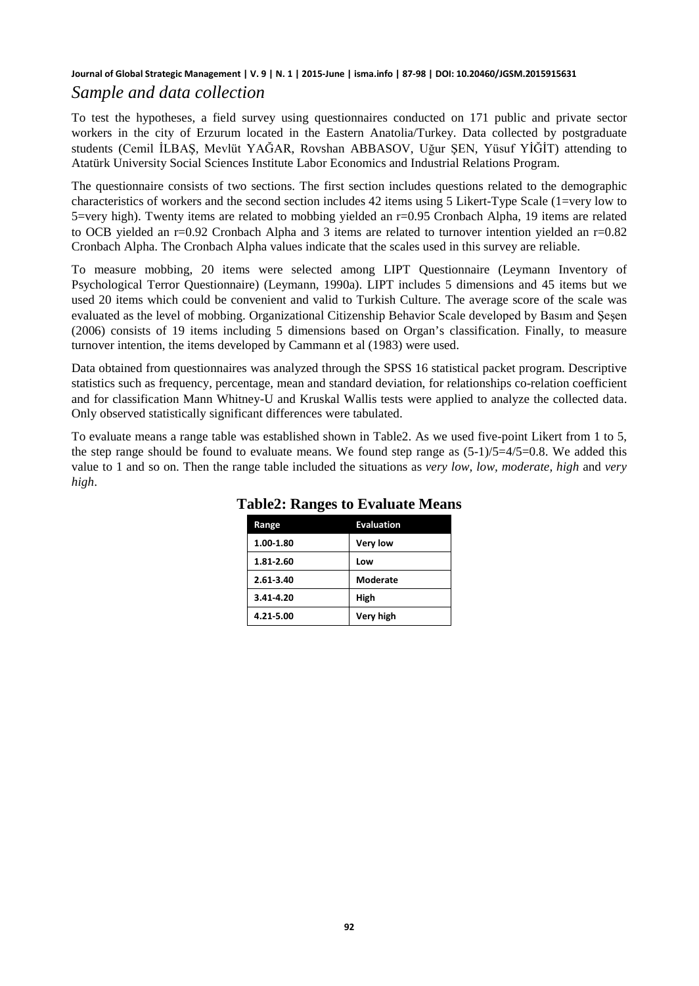#### **Journal of Global Strategic Management | V. 9 | N. 1 | 2015-June | isma.info | 87-98 | DOI: 10.20460/JGSM.2015915631** *Sample and data collection*

To test the hypotheses, a field survey using questionnaires conducted on 171 public and private sector workers in the city of Erzurum located in the Eastern Anatolia/Turkey. Data collected by postgraduate students (Cemil İLBAŞ, Mevlüt YAĞAR, Rovshan ABBASOV, Uğur ŞEN, Yüsuf YİĞİT) attending to Atatürk University Social Sciences Institute Labor Economics and Industrial Relations Program.

The questionnaire consists of two sections. The first section includes questions related to the demographic characteristics of workers and the second section includes 42 items using 5 Likert-Type Scale (1=very low to 5=very high). Twenty items are related to mobbing yielded an r=0.95 Cronbach Alpha, 19 items are related to OCB yielded an r=0.92 Cronbach Alpha and 3 items are related to turnover intention yielded an r=0.82 Cronbach Alpha. The Cronbach Alpha values indicate that the scales used in this survey are reliable.

To measure mobbing, 20 items were selected among LIPT Questionnaire (Leymann Inventory of Psychological Terror Questionnaire) (Leymann, 1990a). LIPT includes 5 dimensions and 45 items but we used 20 items which could be convenient and valid to Turkish Culture. The average score of the scale was evaluated as the level of mobbing. Organizational Citizenship Behavior Scale developed by Basım and Şeşen (2006) consists of 19 items including 5 dimensions based on Organ's classification. Finally, to measure turnover intention, the items developed by Cammann et al (1983) were used.

Data obtained from questionnaires was analyzed through the SPSS 16 statistical packet program. Descriptive statistics such as frequency, percentage, mean and standard deviation, for relationships co-relation coefficient and for classification Mann Whitney-U and Kruskal Wallis tests were applied to analyze the collected data. Only observed statistically significant differences were tabulated.

To evaluate means a range table was established shown in Table2. As we used five-point Likert from 1 to 5, the step range should be found to evaluate means. We found step range as  $(5-1)/5=4/5=0.8$ . We added this value to 1 and so on. Then the range table included the situations as *very low, low, moderate, high* and *very high*.

| Range     | <b>Evaluation</b> |
|-----------|-------------------|
| 1.00-1.80 | Very low          |
| 1.81-2.60 | Low               |
| 2.61-3.40 | Moderate          |
| 3.41-4.20 | High              |
| 4.21-5.00 | Very high         |

#### **Table2: Ranges to Evaluate Means**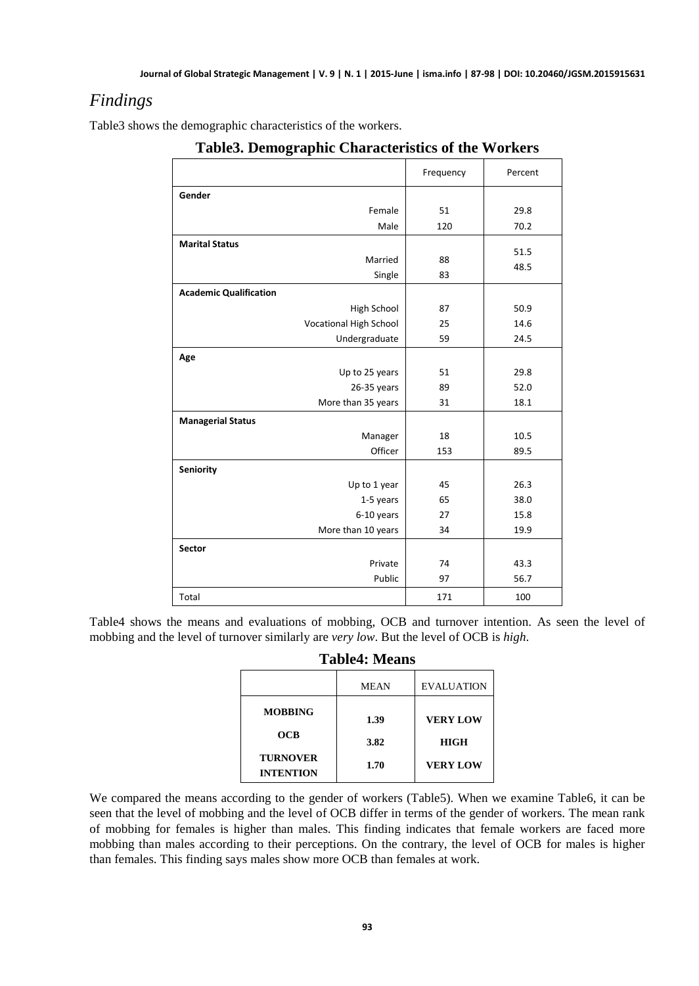# *Findings*

Table3 shows the demographic characteristics of the workers.

|                               | Frequency | Percent |
|-------------------------------|-----------|---------|
| Gender                        |           |         |
| Female                        | 51        | 29.8    |
| Male                          | 120       | 70.2    |
| <b>Marital Status</b>         |           | 51.5    |
| Married                       | 88        | 48.5    |
| Single                        | 83        |         |
| <b>Academic Qualification</b> |           |         |
| High School                   | 87        | 50.9    |
| <b>Vocational High School</b> | 25        | 14.6    |
| Undergraduate                 | 59        | 24.5    |
| Age                           |           |         |
| Up to 25 years                | 51        | 29.8    |
| 26-35 years                   | 89        | 52.0    |
| More than 35 years            | 31        | 18.1    |
| <b>Managerial Status</b>      |           |         |
| Manager                       | 18        | 10.5    |
| Officer                       | 153       | 89.5    |
| <b>Seniority</b>              |           |         |
| Up to 1 year                  | 45        | 26.3    |
| 1-5 years                     | 65        | 38.0    |
| 6-10 years                    | 27        | 15.8    |
| More than 10 years            | 34        | 19.9    |
| <b>Sector</b>                 |           |         |
| Private                       | 74        | 43.3    |
| Public                        | 97        | 56.7    |
| Total                         | 171       | 100     |

**Table3. Demographic Characteristics of the Workers**

Table4 shows the means and evaluations of mobbing, OCB and turnover intention. As seen the level of mobbing and the level of turnover similarly are *very low*. But the level of OCB is *high*.

|                                                                     | <b>MEAN</b>          | <b>EVALUATION</b>                                 |
|---------------------------------------------------------------------|----------------------|---------------------------------------------------|
| <b>MOBBING</b><br><b>OCB</b><br><b>TURNOVER</b><br><b>INTENTION</b> | 1.39<br>3.82<br>1.70 | <b>VERY LOW</b><br><b>HIGH</b><br><b>VERY LOW</b> |

We compared the means according to the gender of workers (Table5). When we examine Table6, it can be seen that the level of mobbing and the level of OCB differ in terms of the gender of workers. The mean rank of mobbing for females is higher than males. This finding indicates that female workers are faced more mobbing than males according to their perceptions. On the contrary, the level of OCB for males is higher than females. This finding says males show more OCB than females at work.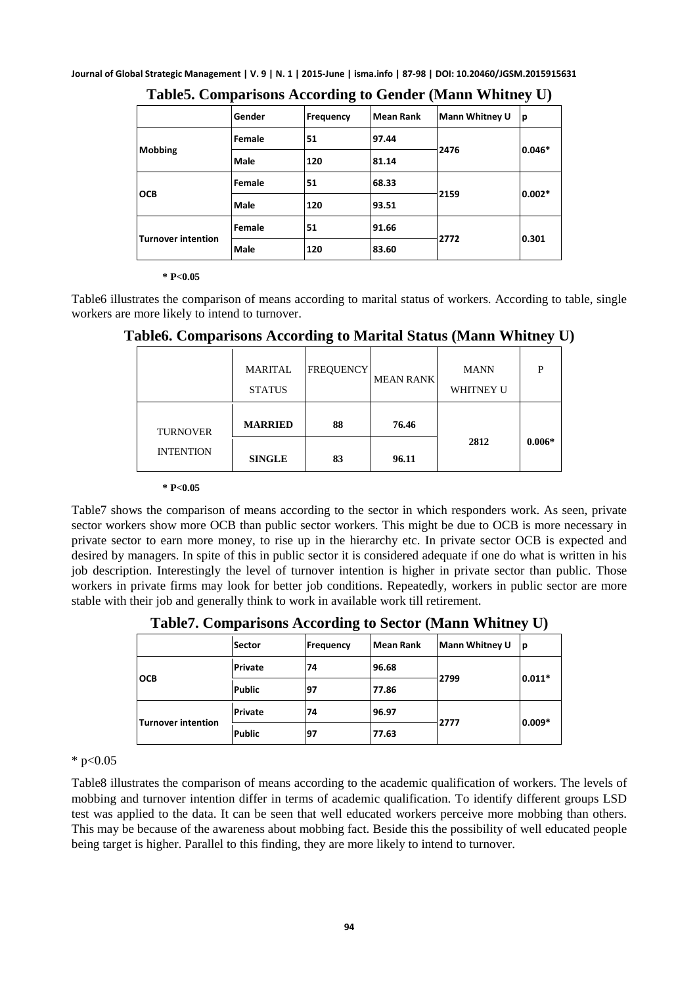|                           | Gender      | Frequency | Mean Rank | Mann Whitney U | ١p       |
|---------------------------|-------------|-----------|-----------|----------------|----------|
| Mobbing                   | Female      | 51        | 97.44     |                | 0.046*   |
|                           | <b>Male</b> | 120       | 81.14     | 2476           |          |
| <b>OCB</b>                | Female      | 51        | 68.33     |                | $0.002*$ |
|                           | <b>Male</b> | 120       | 93.51     | 2159           |          |
| <b>Turnover intention</b> | Female      | 51        | 91.66     | 2772           | 0.301    |
|                           | <b>Male</b> | 120       | 83.60     |                |          |

**Table5. Comparisons According to Gender (Mann Whitney U)**

#### **\* P<0.05**

Table6 illustrates the comparison of means according to marital status of workers. According to table, single workers are more likely to intend to turnover.

|                  | <b>MARITAL</b><br><b>STATUS</b> | <b>FREQUENCY</b> | <b>MEAN RANK</b> | <b>MANN</b><br><b>WHITNEY U</b> | D        |
|------------------|---------------------------------|------------------|------------------|---------------------------------|----------|
| <b>TURNOVER</b>  | <b>MARRIED</b>                  | 88               | 76.46            |                                 |          |
| <b>INTENTION</b> | <b>SINGLE</b>                   | 83               | 96.11            | 2812                            | $0.006*$ |

**Table6. Comparisons According to Marital Status (Mann Whitney U)**

**\* P<0.05** 

Table7 shows the comparison of means according to the sector in which responders work. As seen, private sector workers show more OCB than public sector workers. This might be due to OCB is more necessary in private sector to earn more money, to rise up in the hierarchy etc. In private sector OCB is expected and desired by managers. In spite of this in public sector it is considered adequate if one do what is written in his job description. Interestingly the level of turnover intention is higher in private sector than public. Those workers in private firms may look for better job conditions. Repeatedly, workers in public sector are more stable with their job and generally think to work in available work till retirement.

**Table7. Comparisons According to Sector (Mann Whitney U)**

|                           | Sector        | Frequency | Mean Rank | <b>Mann Whitney U</b> | ١p       |
|---------------------------|---------------|-----------|-----------|-----------------------|----------|
| <b>OCB</b>                | Private       | 74        | 96.68     |                       | $0.011*$ |
|                           | <b>Public</b> | 97        | 77.86     | 2799                  |          |
| <b>Turnover intention</b> | Private       | 74        | 96.97     |                       | $0.009*$ |
|                           | <b>Public</b> | 97        | 77.63     | 2777                  |          |

 $*$  p<0.05

Table8 illustrates the comparison of means according to the academic qualification of workers. The levels of mobbing and turnover intention differ in terms of academic qualification. To identify different groups LSD test was applied to the data. It can be seen that well educated workers perceive more mobbing than others. This may be because of the awareness about mobbing fact. Beside this the possibility of well educated people being target is higher. Parallel to this finding, they are more likely to intend to turnover.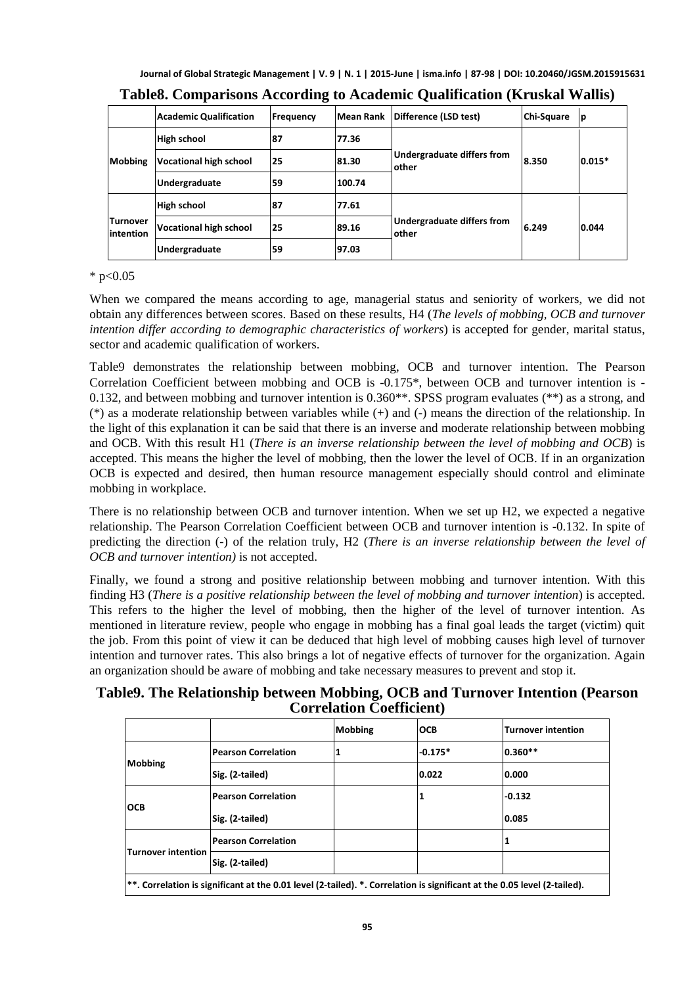|                                       | <b>Academic Qualification</b> | Frequency | Mean Rank | Difference (LSD test)                              | Chi-Square | ١p       |
|---------------------------------------|-------------------------------|-----------|-----------|----------------------------------------------------|------------|----------|
|                                       | <b>High school</b>            | 187       | 77.36     |                                                    |            |          |
| <b>Mobbing</b>                        | Vocational high school        | 25        | 81.30     | <b>Undergraduate differs from</b><br><b>lother</b> | 8.350      | $0.015*$ |
|                                       | Undergraduate                 | 59        | 100.74    |                                                    |            |          |
|                                       | High school                   | 87        | 77.61     |                                                    |            |          |
| <b>ITurnover</b><br><b>lintention</b> | <b>Vocational high school</b> | 125       | 89.16     | Undergraduate differs from<br><b>lother</b>        | 6.249      | 0.044    |
|                                       | Undergraduate                 | 59        | 97.03     |                                                    |            |          |

### **Table8. Comparisons According to Academic Qualification (Kruskal Wallis)**

 $*$  p<0.05

When we compared the means according to age, managerial status and seniority of workers, we did not obtain any differences between scores. Based on these results, H4 (*The levels of mobbing, OCB and turnover intention differ according to demographic characteristics of workers*) is accepted for gender, marital status, sector and academic qualification of workers.

Table9 demonstrates the relationship between mobbing, OCB and turnover intention. The Pearson Correlation Coefficient between mobbing and OCB is -0.175\*, between OCB and turnover intention is - 0.132, and between mobbing and turnover intention is 0.360\*\*. SPSS program evaluates (\*\*) as a strong, and (\*) as a moderate relationship between variables while (+) and (-) means the direction of the relationship. In the light of this explanation it can be said that there is an inverse and moderate relationship between mobbing and OCB. With this result H1 (*There is an inverse relationship between the level of mobbing and OCB*) is accepted. This means the higher the level of mobbing, then the lower the level of OCB. If in an organization OCB is expected and desired, then human resource management especially should control and eliminate mobbing in workplace.

There is no relationship between OCB and turnover intention. When we set up H2, we expected a negative relationship. The Pearson Correlation Coefficient between OCB and turnover intention is -0.132. In spite of predicting the direction (-) of the relation truly, H2 (*There is an inverse relationship between the level of OCB and turnover intention)* is not accepted.

Finally, we found a strong and positive relationship between mobbing and turnover intention. With this finding H3 (*There is a positive relationship between the level of mobbing and turnover intention*) is accepted. This refers to the higher the level of mobbing, then the higher of the level of turnover intention. As mentioned in literature review, people who engage in mobbing has a final goal leads the target (victim) quit the job. From this point of view it can be deduced that high level of mobbing causes high level of turnover intention and turnover rates. This also brings a lot of negative effects of turnover for the organization. Again an organization should be aware of mobbing and take necessary measures to prevent and stop it.

#### **Table9. The Relationship between Mobbing, OCB and Turnover Intention (Pearson Correlation Coefficient)**

|                                                                                                                          |                            | <b>Mobbing</b> | <b>OCB</b> | Turnover intention |  |
|--------------------------------------------------------------------------------------------------------------------------|----------------------------|----------------|------------|--------------------|--|
|                                                                                                                          | <b>Pearson Correlation</b> |                | $-0.175*$  | $0.360**$          |  |
| <b>Mobbing</b>                                                                                                           | Sig. (2-tailed)            |                | 0.022      | 0.000              |  |
| <b>OCB</b>                                                                                                               | <b>Pearson Correlation</b> |                | 1          | $-0.132$           |  |
|                                                                                                                          | Sig. (2-tailed)            |                |            | 0.085              |  |
|                                                                                                                          | <b>Pearson Correlation</b> |                |            |                    |  |
| <b>Turnover intention</b>                                                                                                | Sig. (2-tailed)            |                |            |                    |  |
| **. Correlation is significant at the 0.01 level (2-tailed). *. Correlation is significant at the 0.05 level (2-tailed). |                            |                |            |                    |  |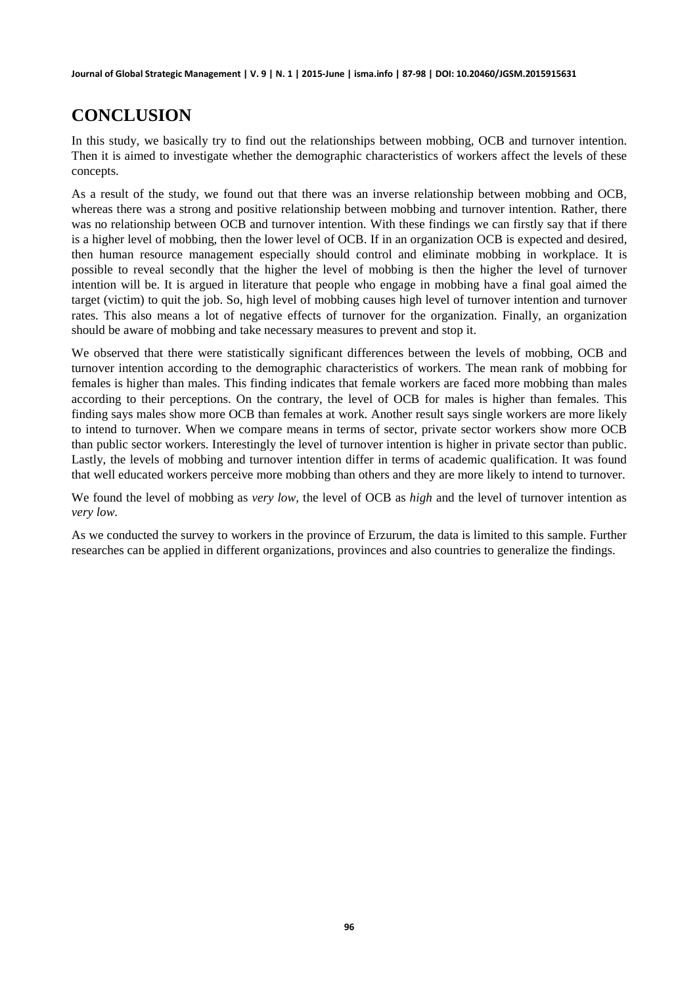# **CONCLUSION**

In this study, we basically try to find out the relationships between mobbing, OCB and turnover intention. Then it is aimed to investigate whether the demographic characteristics of workers affect the levels of these concepts.

As a result of the study, we found out that there was an inverse relationship between mobbing and OCB, whereas there was a strong and positive relationship between mobbing and turnover intention. Rather, there was no relationship between OCB and turnover intention. With these findings we can firstly say that if there is a higher level of mobbing, then the lower level of OCB. If in an organization OCB is expected and desired, then human resource management especially should control and eliminate mobbing in workplace. It is possible to reveal secondly that the higher the level of mobbing is then the higher the level of turnover intention will be. It is argued in literature that people who engage in mobbing have a final goal aimed the target (victim) to quit the job. So, high level of mobbing causes high level of turnover intention and turnover rates. This also means a lot of negative effects of turnover for the organization. Finally, an organization should be aware of mobbing and take necessary measures to prevent and stop it.

We observed that there were statistically significant differences between the levels of mobbing, OCB and turnover intention according to the demographic characteristics of workers. The mean rank of mobbing for females is higher than males. This finding indicates that female workers are faced more mobbing than males according to their perceptions. On the contrary, the level of OCB for males is higher than females. This finding says males show more OCB than females at work. Another result says single workers are more likely to intend to turnover. When we compare means in terms of sector, private sector workers show more OCB than public sector workers. Interestingly the level of turnover intention is higher in private sector than public. Lastly, the levels of mobbing and turnover intention differ in terms of academic qualification. It was found that well educated workers perceive more mobbing than others and they are more likely to intend to turnover.

We found the level of mobbing as *very low,* the level of OCB as *high* and the level of turnover intention as *very low*.

As we conducted the survey to workers in the province of Erzurum, the data is limited to this sample. Further researches can be applied in different organizations, provinces and also countries to generalize the findings.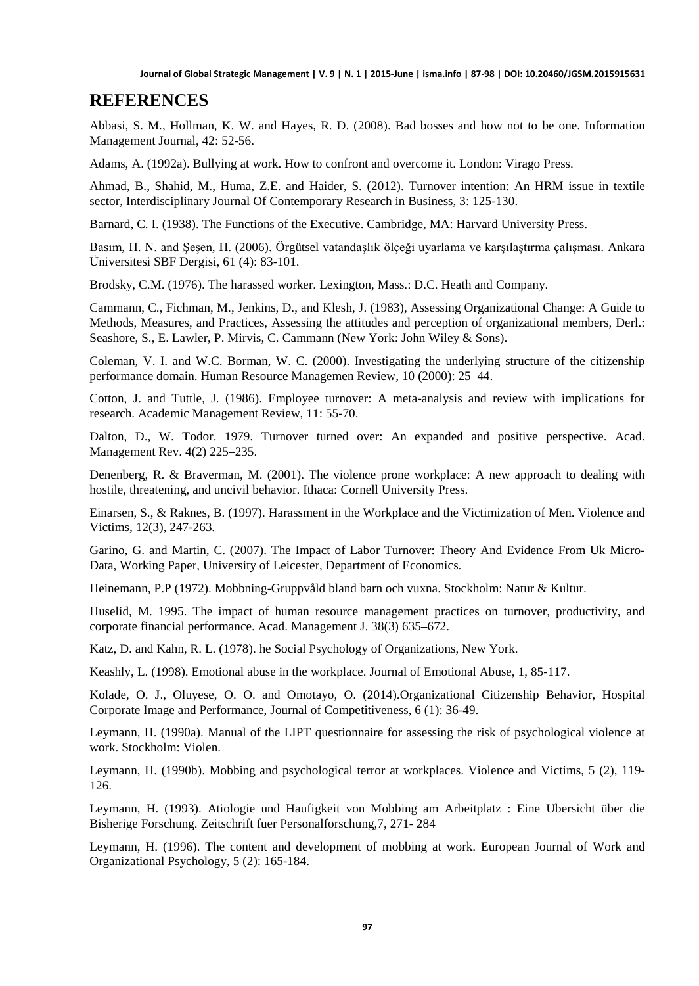### **REFERENCES**

Abbasi, S. M., Hollman, K. W. and Hayes, R. D. (2008). Bad bosses and how not to be one. Information Management Journal, 42: 52-56.

Adams, A. (1992a). Bullying at work. How to confront and overcome it. London: Virago Press.

Ahmad, B., Shahid, M., Huma, Z.E. and Haider, S. (2012). Turnover intention: An HRM issue in textile sector, Interdisciplinary Journal Of Contemporary Research in Business, 3: 125-130.

Barnard, C. I. (1938). The Functions of the Executive. Cambridge, MA: Harvard University Press.

Basım, H. N. and Şeşen, H. (2006). Örgütsel vatandaşlık ölçeği uyarlama ve karşılaştırma çalışması. Ankara Üniversitesi SBF Dergisi, 61 (4): 83-101.

Brodsky, C.M. (1976). The harassed worker. Lexington, Mass.: D.C. Heath and Company.

Cammann, C., Fichman, M., Jenkins, D., and Klesh, J. (1983), Assessing Organizational Change: A Guide to Methods, Measures, and Practices, Assessing the attitudes and perception of organizational members, Derl.: Seashore, S., E. Lawler, P. Mirvis, C. Cammann (New York: John Wiley & Sons).

Coleman, V. I. and W.C. Borman, W. C. (2000). Investigating the underlying structure of the citizenship performance domain. Human Resource Managemen Review, 10 (2000): 25–44.

Cotton, J. and Tuttle, J. (1986). Employee turnover: A meta-analysis and review with implications for research. Academic Management Review, 11: 55-70.

Dalton, D., W. Todor. 1979. Turnover turned over: An expanded and positive perspective. Acad. Management Rev. 4(2) 225–235.

Denenberg, R. & Braverman, M. (2001). The violence prone workplace: A new approach to dealing with hostile, threatening, and uncivil behavior. Ithaca: Cornell University Press.

Einarsen, S., & Raknes, B. (1997). Harassment in the Workplace and the Victimization of Men. Violence and Victims, 12(3), 247-263.

Garino, G. and Martin, C. (2007). The Impact of Labor Turnover: Theory And Evidence From Uk Micro-Data, Working Paper, University of Leicester, Department of Economics.

Heinemann, P.P (1972). Mobbning-Gruppvåld bland barn och vuxna. Stockholm: Natur & Kultur.

Huselid, M. 1995. The impact of human resource management practices on turnover, productivity, and corporate financial performance. Acad. Management J. 38(3) 635–672.

Katz, D. and Kahn, R. L. (1978). he Social Psychology of Organizations, New York.

Keashly, L. (1998). Emotional abuse in the workplace. Journal of Emotional Abuse, 1, 85-117.

Kolade, O. J., Oluyese, O. O. and Omotayo, O. (2014).Organizational Citizenship Behavior, Hospital Corporate Image and Performance, Journal of Competitiveness, 6 (1): 36-49.

Leymann, H. (1990a). Manual of the LIPT questionnaire for assessing the risk of psychological violence at work. Stockholm: Violen.

Leymann, H. (1990b). Mobbing and psychological terror at workplaces. Violence and Victims, 5 (2), 119- 126.

Leymann, H. (1993). Atiologie und Haufigkeit von Mobbing am Arbeitplatz : Eine Ubersicht über die Bisherige Forschung. Zeitschrift fuer Personalforschung,7, 271- 284

Leymann, H. (1996). The content and development of mobbing at work. European Journal of Work and Organizational Psychology, 5 (2): 165-184.